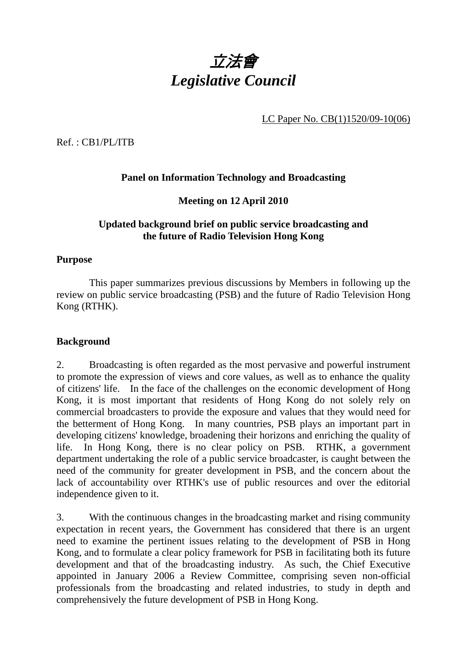

LC Paper No. CB(1)1520/09-10(06)

Ref. : CB1/PL/ITB

# **Panel on Information Technology and Broadcasting**

**Meeting on 12 April 2010** 

### **Updated background brief on public service broadcasting and the future of Radio Television Hong Kong**

#### **Purpose**

 This paper summarizes previous discussions by Members in following up the review on public service broadcasting (PSB) and the future of Radio Television Hong Kong (RTHK).

#### **Background**

2. Broadcasting is often regarded as the most pervasive and powerful instrument to promote the expression of views and core values, as well as to enhance the quality of citizens' life. In the face of the challenges on the economic development of Hong Kong, it is most important that residents of Hong Kong do not solely rely on commercial broadcasters to provide the exposure and values that they would need for the betterment of Hong Kong. In many countries, PSB plays an important part in developing citizens' knowledge, broadening their horizons and enriching the quality of life. In Hong Kong, there is no clear policy on PSB. RTHK, a government department undertaking the role of a public service broadcaster, is caught between the need of the community for greater development in PSB, and the concern about the lack of accountability over RTHK's use of public resources and over the editorial independence given to it.

3. With the continuous changes in the broadcasting market and rising community expectation in recent years, the Government has considered that there is an urgent need to examine the pertinent issues relating to the development of PSB in Hong Kong, and to formulate a clear policy framework for PSB in facilitating both its future development and that of the broadcasting industry. As such, the Chief Executive appointed in January 2006 a Review Committee, comprising seven non-official professionals from the broadcasting and related industries, to study in depth and comprehensively the future development of PSB in Hong Kong.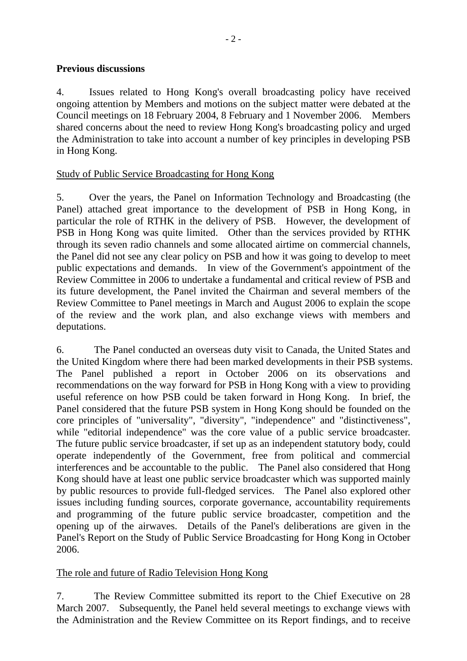### **Previous discussions**

4. Issues related to Hong Kong's overall broadcasting policy have received ongoing attention by Members and motions on the subject matter were debated at the Council meetings on 18 February 2004, 8 February and 1 November 2006. Members shared concerns about the need to review Hong Kong's broadcasting policy and urged the Administration to take into account a number of key principles in developing PSB in Hong Kong.

### Study of Public Service Broadcasting for Hong Kong

5. Over the years, the Panel on Information Technology and Broadcasting (the Panel) attached great importance to the development of PSB in Hong Kong, in particular the role of RTHK in the delivery of PSB. However, the development of PSB in Hong Kong was quite limited. Other than the services provided by RTHK through its seven radio channels and some allocated airtime on commercial channels, the Panel did not see any clear policy on PSB and how it was going to develop to meet public expectations and demands. In view of the Government's appointment of the Review Committee in 2006 to undertake a fundamental and critical review of PSB and its future development, the Panel invited the Chairman and several members of the Review Committee to Panel meetings in March and August 2006 to explain the scope of the review and the work plan, and also exchange views with members and deputations.

6. The Panel conducted an overseas duty visit to Canada, the United States and the United Kingdom where there had been marked developments in their PSB systems. The Panel published a report in October 2006 on its observations and recommendations on the way forward for PSB in Hong Kong with a view to providing useful reference on how PSB could be taken forward in Hong Kong. In brief, the Panel considered that the future PSB system in Hong Kong should be founded on the core principles of "universality", "diversity", "independence" and "distinctiveness", while "editorial independence" was the core value of a public service broadcaster. The future public service broadcaster, if set up as an independent statutory body, could operate independently of the Government, free from political and commercial interferences and be accountable to the public. The Panel also considered that Hong Kong should have at least one public service broadcaster which was supported mainly by public resources to provide full-fledged services. The Panel also explored other issues including funding sources, corporate governance, accountability requirements and programming of the future public service broadcaster, competition and the opening up of the airwaves. Details of the Panel's deliberations are given in the Panel's Report on the Study of Public Service Broadcasting for Hong Kong in October 2006.

### The role and future of Radio Television Hong Kong

7. The Review Committee submitted its report to the Chief Executive on 28 March 2007. Subsequently, the Panel held several meetings to exchange views with the Administration and the Review Committee on its Report findings, and to receive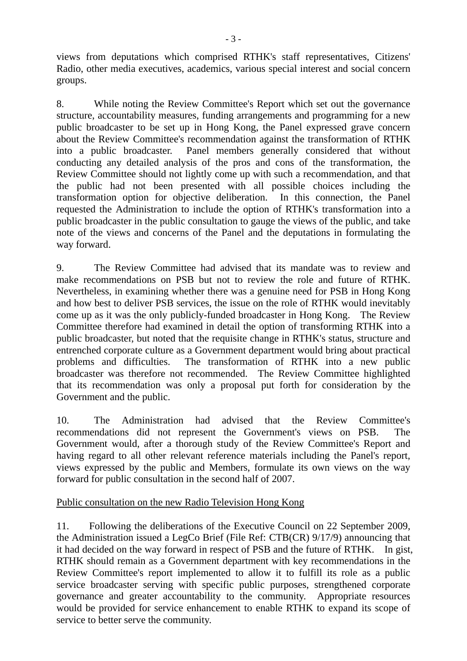views from deputations which comprised RTHK's staff representatives, Citizens' Radio, other media executives, academics, various special interest and social concern groups.

8. While noting the Review Committee's Report which set out the governance structure, accountability measures, funding arrangements and programming for a new public broadcaster to be set up in Hong Kong, the Panel expressed grave concern about the Review Committee's recommendation against the transformation of RTHK into a public broadcaster. Panel members generally considered that without conducting any detailed analysis of the pros and cons of the transformation, the Review Committee should not lightly come up with such a recommendation, and that the public had not been presented with all possible choices including the transformation option for objective deliberation. In this connection, the Panel requested the Administration to include the option of RTHK's transformation into a public broadcaster in the public consultation to gauge the views of the public, and take note of the views and concerns of the Panel and the deputations in formulating the way forward.

9. The Review Committee had advised that its mandate was to review and make recommendations on PSB but not to review the role and future of RTHK. Nevertheless, in examining whether there was a genuine need for PSB in Hong Kong and how best to deliver PSB services, the issue on the role of RTHK would inevitably come up as it was the only publicly-funded broadcaster in Hong Kong. The Review Committee therefore had examined in detail the option of transforming RTHK into a public broadcaster, but noted that the requisite change in RTHK's status, structure and entrenched corporate culture as a Government department would bring about practical problems and difficulties. The transformation of RTHK into a new public broadcaster was therefore not recommended. The Review Committee highlighted that its recommendation was only a proposal put forth for consideration by the Government and the public.

10. The Administration had advised that the Review Committee's recommendations did not represent the Government's views on PSB. The Government would, after a thorough study of the Review Committee's Report and having regard to all other relevant reference materials including the Panel's report, views expressed by the public and Members, formulate its own views on the way forward for public consultation in the second half of 2007.

### Public consultation on the new Radio Television Hong Kong

11. Following the deliberations of the Executive Council on 22 September 2009, the Administration issued a LegCo Brief (File Ref: CTB(CR) 9/17/9) announcing that it had decided on the way forward in respect of PSB and the future of RTHK. In gist, RTHK should remain as a Government department with key recommendations in the Review Committee's report implemented to allow it to fulfill its role as a public service broadcaster serving with specific public purposes, strengthened corporate governance and greater accountability to the community. Appropriate resources would be provided for service enhancement to enable RTHK to expand its scope of service to better serve the community.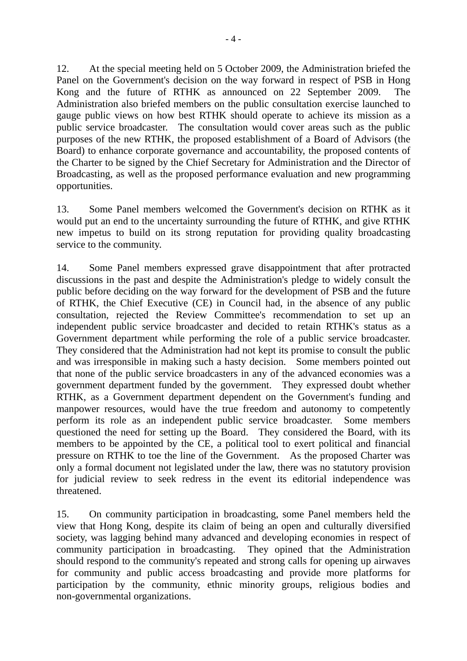12. At the special meeting held on 5 October 2009, the Administration briefed the Panel on the Government's decision on the way forward in respect of PSB in Hong Kong and the future of RTHK as announced on 22 September 2009. The Administration also briefed members on the public consultation exercise launched to gauge public views on how best RTHK should operate to achieve its mission as a public service broadcaster. The consultation would cover areas such as the public purposes of the new RTHK, the proposed establishment of a Board of Advisors (the Board) to enhance corporate governance and accountability, the proposed contents of the Charter to be signed by the Chief Secretary for Administration and the Director of Broadcasting, as well as the proposed performance evaluation and new programming opportunities.

13. Some Panel members welcomed the Government's decision on RTHK as it would put an end to the uncertainty surrounding the future of RTHK, and give RTHK new impetus to build on its strong reputation for providing quality broadcasting service to the community.

14. Some Panel members expressed grave disappointment that after protracted discussions in the past and despite the Administration's pledge to widely consult the public before deciding on the way forward for the development of PSB and the future of RTHK, the Chief Executive (CE) in Council had, in the absence of any public consultation, rejected the Review Committee's recommendation to set up an independent public service broadcaster and decided to retain RTHK's status as a Government department while performing the role of a public service broadcaster. They considered that the Administration had not kept its promise to consult the public and was irresponsible in making such a hasty decision. Some members pointed out that none of the public service broadcasters in any of the advanced economies was a government department funded by the government. They expressed doubt whether RTHK, as a Government department dependent on the Government's funding and manpower resources, would have the true freedom and autonomy to competently perform its role as an independent public service broadcaster. Some members questioned the need for setting up the Board. They considered the Board, with its members to be appointed by the CE, a political tool to exert political and financial pressure on RTHK to toe the line of the Government. As the proposed Charter was only a formal document not legislated under the law, there was no statutory provision for judicial review to seek redress in the event its editorial independence was threatened.

15. On community participation in broadcasting, some Panel members held the view that Hong Kong, despite its claim of being an open and culturally diversified society, was lagging behind many advanced and developing economies in respect of community participation in broadcasting. They opined that the Administration should respond to the community's repeated and strong calls for opening up airwaves for community and public access broadcasting and provide more platforms for participation by the community, ethnic minority groups, religious bodies and non-governmental organizations.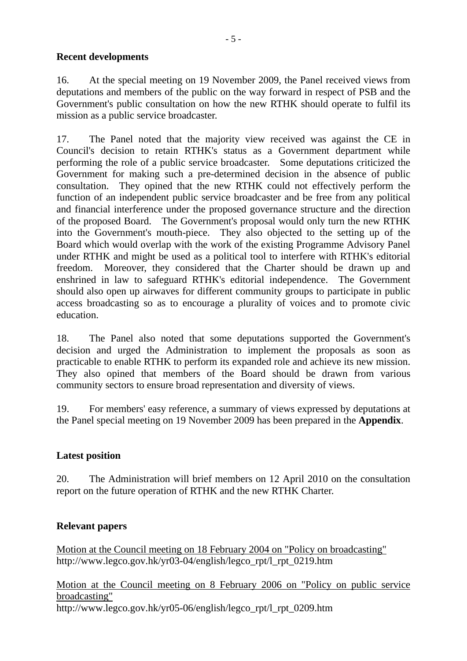### **Recent developments**

16. At the special meeting on 19 November 2009, the Panel received views from deputations and members of the public on the way forward in respect of PSB and the Government's public consultation on how the new RTHK should operate to fulfil its mission as a public service broadcaster.

17. The Panel noted that the majority view received was against the CE in Council's decision to retain RTHK's status as a Government department while performing the role of a public service broadcaster. Some deputations criticized the Government for making such a pre-determined decision in the absence of public consultation. They opined that the new RTHK could not effectively perform the function of an independent public service broadcaster and be free from any political and financial interference under the proposed governance structure and the direction of the proposed Board. The Government's proposal would only turn the new RTHK into the Government's mouth-piece. They also objected to the setting up of the Board which would overlap with the work of the existing Programme Advisory Panel under RTHK and might be used as a political tool to interfere with RTHK's editorial freedom. Moreover, they considered that the Charter should be drawn up and enshrined in law to safeguard RTHK's editorial independence. The Government should also open up airwaves for different community groups to participate in public access broadcasting so as to encourage a plurality of voices and to promote civic education.

18. The Panel also noted that some deputations supported the Government's decision and urged the Administration to implement the proposals as soon as practicable to enable RTHK to perform its expanded role and achieve its new mission. They also opined that members of the Board should be drawn from various community sectors to ensure broad representation and diversity of views.

19. For members' easy reference, a summary of views expressed by deputations at the Panel special meeting on 19 November 2009 has been prepared in the **Appendix**.

### **Latest position**

20. The Administration will brief members on 12 April 2010 on the consultation report on the future operation of RTHK and the new RTHK Charter.

### **Relevant papers**

Motion at the Council meeting on 18 February 2004 on "Policy on broadcasting" http://www.legco.gov.hk/yr03-04/english/legco\_rpt/l\_rpt\_0219.htm

Motion at the Council meeting on 8 February 2006 on "Policy on public service broadcasting" http://www.legco.gov.hk/yr05-06/english/legco\_rpt/l\_rpt\_0209.htm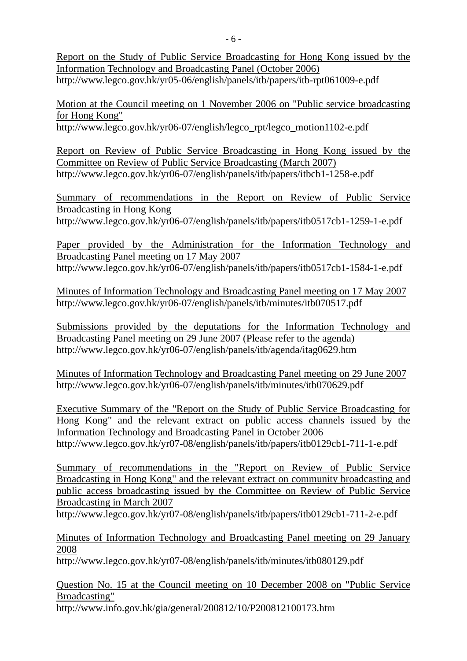Report on the Study of Public Service Broadcasting for Hong Kong issued by the Information Technology and Broadcasting Panel (October 2006) http://www.legco.gov.hk/yr05-06/english/panels/itb/papers/itb-rpt061009-e.pdf

Motion at the Council meeting on 1 November 2006 on "Public service broadcasting for Hong Kong"

http://www.legco.gov.hk/yr06-07/english/legco\_rpt/legco\_motion1102-e.pdf

Report on Review of Public Service Broadcasting in Hong Kong issued by the Committee on Review of Public Service Broadcasting (March 2007) http://www.legco.gov.hk/yr06-07/english/panels/itb/papers/itbcb1-1258-e.pdf

Summary of recommendations in the Report on Review of Public Service Broadcasting in Hong Kong

http://www.legco.gov.hk/yr06-07/english/panels/itb/papers/itb0517cb1-1259-1-e.pdf

Paper provided by the Administration for the Information Technology and Broadcasting Panel meeting on 17 May 2007 http://www.legco.gov.hk/yr06-07/english/panels/itb/papers/itb0517cb1-1584-1-e.pdf

Minutes of Information Technology and Broadcasting Panel meeting on 17 May 2007 http://www.legco.gov.hk/yr06-07/english/panels/itb/minutes/itb070517.pdf

Submissions provided by the deputations for the Information Technology and Broadcasting Panel meeting on 29 June 2007 (Please refer to the agenda) http://www.legco.gov.hk/yr06-07/english/panels/itb/agenda/itag0629.htm

Minutes of Information Technology and Broadcasting Panel meeting on 29 June 2007 http://www.legco.gov.hk/yr06-07/english/panels/itb/minutes/itb070629.pdf

Executive Summary of the "Report on the Study of Public Service Broadcasting for Hong Kong" and the relevant extract on public access channels issued by the Information Technology and Broadcasting Panel in October 2006 http://www.legco.gov.hk/yr07-08/english/panels/itb/papers/itb0129cb1-711-1-e.pdf

Summary of recommendations in the "Report on Review of Public Service Broadcasting in Hong Kong" and the relevant extract on community broadcasting and public access broadcasting issued by the Committee on Review of Public Service Broadcasting in March 2007

http://www.legco.gov.hk/yr07-08/english/panels/itb/papers/itb0129cb1-711-2-e.pdf

Minutes of Information Technology and Broadcasting Panel meeting on 29 January 2008

http://www.legco.gov.hk/yr07-08/english/panels/itb/minutes/itb080129.pdf

Question No. 15 at the Council meeting on 10 December 2008 on "Public Service Broadcasting" http://www.info.gov.hk/gia/general/200812/10/P200812100173.htm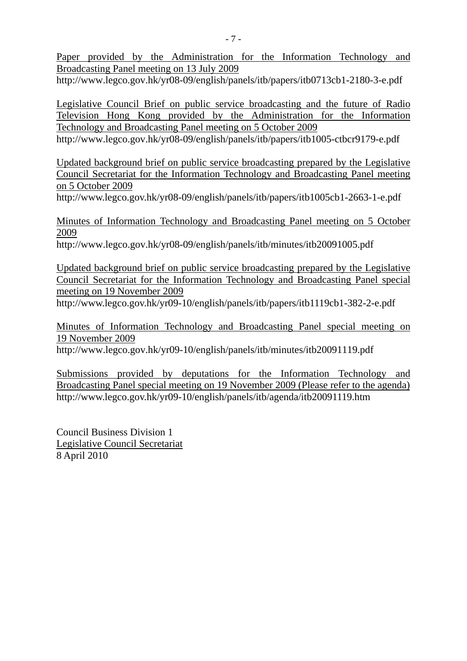Paper provided by the Administration for the Information Technology and Broadcasting Panel meeting on 13 July 2009

http://www.legco.gov.hk/yr08-09/english/panels/itb/papers/itb0713cb1-2180-3-e.pdf

Legislative Council Brief on public service broadcasting and the future of Radio Television Hong Kong provided by the Administration for the Information Technology and Broadcasting Panel meeting on 5 October 2009

http://www.legco.gov.hk/yr08-09/english/panels/itb/papers/itb1005-ctbcr9179-e.pdf

Updated background brief on public service broadcasting prepared by the Legislative Council Secretariat for the Information Technology and Broadcasting Panel meeting on 5 October 2009

http://www.legco.gov.hk/yr08-09/english/panels/itb/papers/itb1005cb1-2663-1-e.pdf

Minutes of Information Technology and Broadcasting Panel meeting on 5 October 2009

http://www.legco.gov.hk/yr08-09/english/panels/itb/minutes/itb20091005.pdf

Updated background brief on public service broadcasting prepared by the Legislative Council Secretariat for the Information Technology and Broadcasting Panel special meeting on 19 November 2009

http://www.legco.gov.hk/yr09-10/english/panels/itb/papers/itb1119cb1-382-2-e.pdf

Minutes of Information Technology and Broadcasting Panel special meeting on 19 November 2009

http://www.legco.gov.hk/yr09-10/english/panels/itb/minutes/itb20091119.pdf

Submissions provided by deputations for the Information Technology and Broadcasting Panel special meeting on 19 November 2009 (Please refer to the agenda) http://www.legco.gov.hk/yr09-10/english/panels/itb/agenda/itb20091119.htm

Council Business Division 1 Legislative Council Secretariat 8 April 2010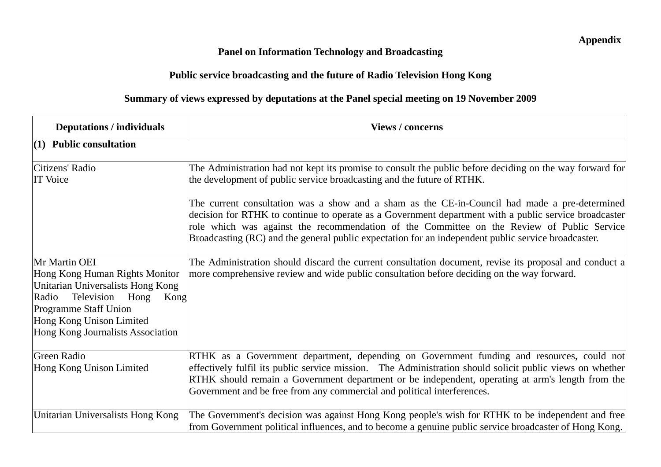## **Panel on Information Technology and Broadcasting**

# **Public service broadcasting and the future of Radio Television Hong Kong**

# **Summary of views expressed by deputations at the Panel special meeting on 19 November 2009**

| <b>Deputations / individuals</b>                                                                                                                                                                                          | <b>Views / concerns</b>                                                                                                                                                                                                                                                                                                                                                                                     |
|---------------------------------------------------------------------------------------------------------------------------------------------------------------------------------------------------------------------------|-------------------------------------------------------------------------------------------------------------------------------------------------------------------------------------------------------------------------------------------------------------------------------------------------------------------------------------------------------------------------------------------------------------|
| $(1)$ Public consultation                                                                                                                                                                                                 |                                                                                                                                                                                                                                                                                                                                                                                                             |
| Citizens' Radio<br><b>IT Voice</b>                                                                                                                                                                                        | The Administration had not kept its promise to consult the public before deciding on the way forward for<br>the development of public service broadcasting and the future of RTHK.                                                                                                                                                                                                                          |
|                                                                                                                                                                                                                           | The current consultation was a show and a sham as the CE-in-Council had made a pre-determined<br>decision for RTHK to continue to operate as a Government department with a public service broadcaster<br>role which was against the recommendation of the Committee on the Review of Public Service<br>Broadcasting (RC) and the general public expectation for an independent public service broadcaster. |
| Mr Martin OEI<br>Hong Kong Human Rights Monitor<br>Unitarian Universalists Hong Kong<br>Radio<br>Television Hong<br>Kong<br><b>Programme Staff Union</b><br>Hong Kong Unison Limited<br>Hong Kong Journalists Association | The Administration should discard the current consultation document, revise its proposal and conduct a<br>more comprehensive review and wide public consultation before deciding on the way forward.                                                                                                                                                                                                        |
| Green Radio<br>Hong Kong Unison Limited                                                                                                                                                                                   | RTHK as a Government department, depending on Government funding and resources, could not<br>effectively fulfil its public service mission. The Administration should solicit public views on whether<br>RTHK should remain a Government department or be independent, operating at arm's length from the<br>Government and be free from any commercial and political interferences.                        |
| Unitarian Universalists Hong Kong                                                                                                                                                                                         | The Government's decision was against Hong Kong people's wish for RTHK to be independent and free<br>from Government political influences, and to become a genuine public service broadcaster of Hong Kong.                                                                                                                                                                                                 |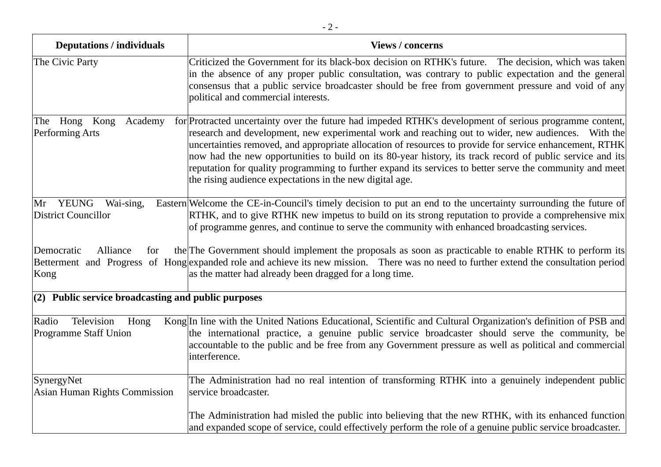| <b>Deputations / individuals</b>                      | <b>Views / concerns</b>                                                                                                                                                                                                                                                                                                                                                                                                                                                                                                                                                                                       |
|-------------------------------------------------------|---------------------------------------------------------------------------------------------------------------------------------------------------------------------------------------------------------------------------------------------------------------------------------------------------------------------------------------------------------------------------------------------------------------------------------------------------------------------------------------------------------------------------------------------------------------------------------------------------------------|
| The Civic Party                                       | Criticized the Government for its black-box decision on RTHK's future. The decision, which was taken<br>in the absence of any proper public consultation, was contrary to public expectation and the general<br>consensus that a public service broadcaster should be free from government pressure and void of any<br>political and commercial interests.                                                                                                                                                                                                                                                    |
| The Hong<br>Kong<br>Academy<br>Performing Arts        | for Protracted uncertainty over the future had impeded RTHK's development of serious programme content,<br>research and development, new experimental work and reaching out to wider, new audiences. With the<br>uncertainties removed, and appropriate allocation of resources to provide for service enhancement, RTHK<br>now had the new opportunities to build on its 80-year history, its track record of public service and its<br>reputation for quality programming to further expand its services to better serve the community and meet<br>the rising audience expectations in the new digital age. |
| Mr YEUNG<br>Wai-sing,<br>District Councillor          | Eastern Welcome the CE-in-Council's timely decision to put an end to the uncertainty surrounding the future of<br>RTHK, and to give RTHK new impetus to build on its strong reputation to provide a comprehensive mix<br>of programme genres, and continue to serve the community with enhanced broadcasting services.                                                                                                                                                                                                                                                                                        |
| Democratic<br>Alliance<br>for<br>Kong                 | the The Government should implement the proposals as soon as practicable to enable RTHK to perform its<br>Betterment and Progress of Hong expanded role and achieve its new mission. There was no need to further extend the consultation period<br>as the matter had already been dragged for a long time.                                                                                                                                                                                                                                                                                                   |
| $(2)$ Public service broadcasting and public purposes |                                                                                                                                                                                                                                                                                                                                                                                                                                                                                                                                                                                                               |
| Television<br>Radio<br>Hong<br>Programme Staff Union  | Kong In line with the United Nations Educational, Scientific and Cultural Organization's definition of PSB and<br>the international practice, a genuine public service broadcaster should serve the community, be<br>accountable to the public and be free from any Government pressure as well as political and commercial<br>interference.                                                                                                                                                                                                                                                                  |
| SynergyNet<br>Asian Human Rights Commission           | The Administration had no real intention of transforming RTHK into a genuinely independent public<br>service broadcaster.                                                                                                                                                                                                                                                                                                                                                                                                                                                                                     |
|                                                       | The Administration had misled the public into believing that the new RTHK, with its enhanced function<br>and expanded scope of service, could effectively perform the role of a genuine public service broadcaster.                                                                                                                                                                                                                                                                                                                                                                                           |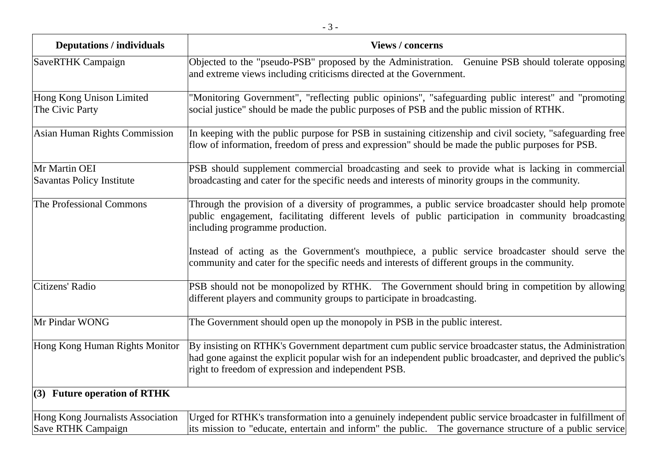| <b>Deputations / individuals</b>                               | <b>Views / concerns</b>                                                                                                                                                                                                                                                      |
|----------------------------------------------------------------|------------------------------------------------------------------------------------------------------------------------------------------------------------------------------------------------------------------------------------------------------------------------------|
| SaveRTHK Campaign                                              | Objected to the "pseudo-PSB" proposed by the Administration. Genuine PSB should tolerate opposing<br>and extreme views including criticisms directed at the Government.                                                                                                      |
| Hong Kong Unison Limited<br>The Civic Party                    | "Monitoring Government", "reflecting public opinions", "safeguarding public interest" and "promoting<br>social justice" should be made the public purposes of PSB and the public mission of RTHK.                                                                            |
| Asian Human Rights Commission                                  | In keeping with the public purpose for PSB in sustaining citizenship and civil society, "safeguarding free<br>flow of information, freedom of press and expression" should be made the public purposes for PSB.                                                              |
| Mr Martin OEI<br>Savantas Policy Institute                     | PSB should supplement commercial broadcasting and seek to provide what is lacking in commercial<br>broadcasting and cater for the specific needs and interests of minority groups in the community.                                                                          |
| The Professional Commons                                       | Through the provision of a diversity of programmes, a public service broadcaster should help promote<br>public engagement, facilitating different levels of public participation in community broadcasting<br>including programme production.                                |
|                                                                | Instead of acting as the Government's mouthpiece, a public service broadcaster should serve the<br>community and cater for the specific needs and interests of different groups in the community.                                                                            |
| Citizens' Radio                                                | PSB should not be monopolized by RTHK. The Government should bring in competition by allowing<br>different players and community groups to participate in broadcasting.                                                                                                      |
| Mr Pindar WONG                                                 | The Government should open up the monopoly in PSB in the public interest.                                                                                                                                                                                                    |
| Hong Kong Human Rights Monitor                                 | By insisting on RTHK's Government department cum public service broadcaster status, the Administration<br>had gone against the explicit popular wish for an independent public broadcaster, and deprived the public's<br>right to freedom of expression and independent PSB. |
| $(3)$ Future operation of RTHK                                 |                                                                                                                                                                                                                                                                              |
| Hong Kong Journalists Association<br><b>Save RTHK Campaign</b> | Urged for RTHK's transformation into a genuinely independent public service broadcaster in fulfillment of<br>its mission to "educate, entertain and inform" the public. The governance structure of a public service                                                         |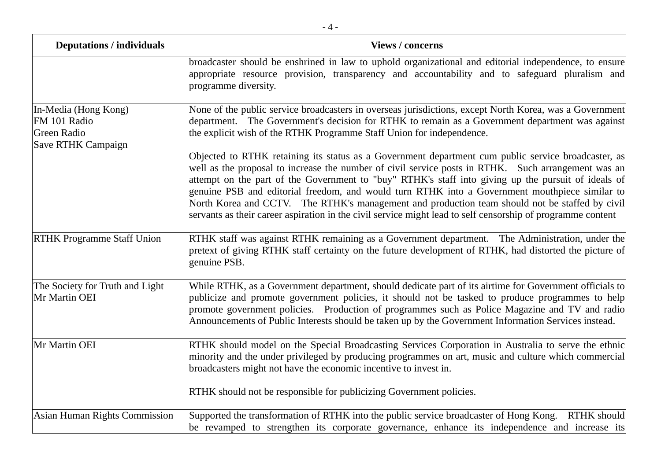| <b>Deputations / individuals</b>                                                 | <b>Views / concerns</b>                                                                                                                                                                                                                                                                                                                                                                                                                                                                                                                                                                                                              |
|----------------------------------------------------------------------------------|--------------------------------------------------------------------------------------------------------------------------------------------------------------------------------------------------------------------------------------------------------------------------------------------------------------------------------------------------------------------------------------------------------------------------------------------------------------------------------------------------------------------------------------------------------------------------------------------------------------------------------------|
|                                                                                  | broadcaster should be enshrined in law to uphold organizational and editorial independence, to ensure<br>appropriate resource provision, transparency and accountability and to safeguard pluralism and<br>programme diversity.                                                                                                                                                                                                                                                                                                                                                                                                      |
| In-Media (Hong Kong)<br>FM 101 Radio<br><b>Green Radio</b><br>Save RTHK Campaign | None of the public service broadcasters in overseas jurisdictions, except North Korea, was a Government<br>department. The Government's decision for RTHK to remain as a Government department was against<br>the explicit wish of the RTHK Programme Staff Union for independence.                                                                                                                                                                                                                                                                                                                                                  |
|                                                                                  | Objected to RTHK retaining its status as a Government department cum public service broadcaster, as<br>well as the proposal to increase the number of civil service posts in RTHK. Such arrangement was an<br>attempt on the part of the Government to "buy" RTHK's staff into giving up the pursuit of ideals of<br>genuine PSB and editorial freedom, and would turn RTHK into a Government mouthpiece similar to<br>North Korea and CCTV. The RTHK's management and production team should not be staffed by civil<br>servants as their career aspiration in the civil service might lead to self censorship of programme content |
| <b>RTHK Programme Staff Union</b>                                                | RTHK staff was against RTHK remaining as a Government department. The Administration, under the<br>pretext of giving RTHK staff certainty on the future development of RTHK, had distorted the picture of<br>genuine PSB.                                                                                                                                                                                                                                                                                                                                                                                                            |
| The Society for Truth and Light<br>Mr Martin OEI                                 | While RTHK, as a Government department, should dedicate part of its airtime for Government officials to<br>publicize and promote government policies, it should not be tasked to produce programmes to help<br>promote government policies. Production of programmes such as Police Magazine and TV and radio<br>Announcements of Public Interests should be taken up by the Government Information Services instead.                                                                                                                                                                                                                |
| Mr Martin OEI                                                                    | RTHK should model on the Special Broadcasting Services Corporation in Australia to serve the ethnic<br>minority and the under privileged by producing programmes on art, music and culture which commercial<br>broadcasters might not have the economic incentive to invest in.                                                                                                                                                                                                                                                                                                                                                      |
|                                                                                  | RTHK should not be responsible for publicizing Government policies.                                                                                                                                                                                                                                                                                                                                                                                                                                                                                                                                                                  |
| Asian Human Rights Commission                                                    | Supported the transformation of RTHK into the public service broadcaster of Hong Kong. RTHK should<br>be revamped to strengthen its corporate governance, enhance its independence and increase its                                                                                                                                                                                                                                                                                                                                                                                                                                  |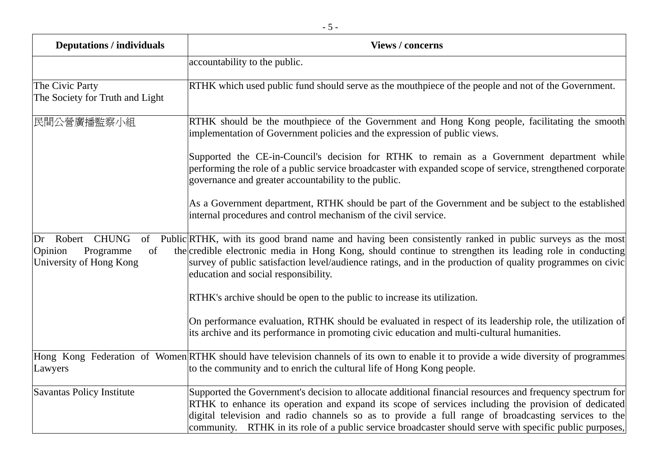| <b>Deputations / individuals</b>                                         | <b>Views / concerns</b>                                                                                                                                                                                                                                                                                                                                                                                                            |
|--------------------------------------------------------------------------|------------------------------------------------------------------------------------------------------------------------------------------------------------------------------------------------------------------------------------------------------------------------------------------------------------------------------------------------------------------------------------------------------------------------------------|
|                                                                          | accountability to the public.                                                                                                                                                                                                                                                                                                                                                                                                      |
| The Civic Party<br>The Society for Truth and Light                       | RTHK which used public fund should serve as the mouthpiece of the people and not of the Government.                                                                                                                                                                                                                                                                                                                                |
| 民間公營廣播監察小組                                                               | RTHK should be the mouthpiece of the Government and Hong Kong people, facilitating the smooth<br>implementation of Government policies and the expression of public views.                                                                                                                                                                                                                                                         |
|                                                                          | Supported the CE-in-Council's decision for RTHK to remain as a Government department while<br>performing the role of a public service broadcaster with expanded scope of service, strengthened corporate<br>governance and greater accountability to the public.                                                                                                                                                                   |
|                                                                          | As a Government department, RTHK should be part of the Government and be subject to the established<br>internal procedures and control mechanism of the civil service.                                                                                                                                                                                                                                                             |
| Dr Robert CHUNG<br>Opinion<br>Programme<br>of<br>University of Hong Kong | of Public RTHK, with its good brand name and having been consistently ranked in public surveys as the most<br>the credible electronic media in Hong Kong, should continue to strengthen its leading role in conducting<br>survey of public satisfaction level/audience ratings, and in the production of quality programmes on civic<br>education and social responsibility.                                                       |
|                                                                          | RTHK's archive should be open to the public to increase its utilization.                                                                                                                                                                                                                                                                                                                                                           |
|                                                                          | On performance evaluation, RTHK should be evaluated in respect of its leadership role, the utilization of<br>its archive and its performance in promoting civic education and multi-cultural humanities.                                                                                                                                                                                                                           |
| Lawyers                                                                  | Hong Kong Federation of Women RTHK should have television channels of its own to enable it to provide a wide diversity of programmes<br>to the community and to enrich the cultural life of Hong Kong people.                                                                                                                                                                                                                      |
| Savantas Policy Institute                                                | Supported the Government's decision to allocate additional financial resources and frequency spectrum for<br>RTHK to enhance its operation and expand its scope of services including the provision of dedicated<br>digital television and radio channels so as to provide a full range of broadcasting services to the<br>community. RTHK in its role of a public service broadcaster should serve with specific public purposes, |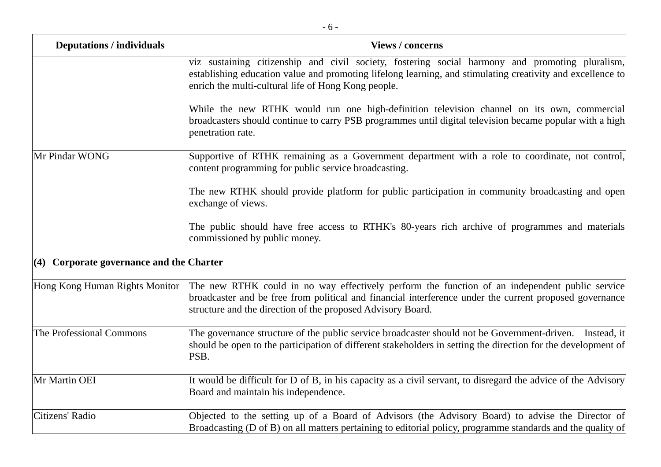| <b>Deputations / individuals</b>         | <b>Views / concerns</b>                                                                                                                                                                                                                                                  |
|------------------------------------------|--------------------------------------------------------------------------------------------------------------------------------------------------------------------------------------------------------------------------------------------------------------------------|
|                                          | viz sustaining citizenship and civil society, fostering social harmony and promoting pluralism,<br>establishing education value and promoting lifelong learning, and stimulating creativity and excellence to<br>enrich the multi-cultural life of Hong Kong people.     |
|                                          | While the new RTHK would run one high-definition television channel on its own, commercial<br>broadcasters should continue to carry PSB programmes until digital television became popular with a high<br>penetration rate.                                              |
| Mr Pindar WONG                           | Supportive of RTHK remaining as a Government department with a role to coordinate, not control,<br>content programming for public service broadcasting.                                                                                                                  |
|                                          | The new RTHK should provide platform for public participation in community broadcasting and open<br>exchange of views.                                                                                                                                                   |
|                                          | The public should have free access to RTHK's 80-years rich archive of programmes and materials<br>commissioned by public money.                                                                                                                                          |
| (4) Corporate governance and the Charter |                                                                                                                                                                                                                                                                          |
| Hong Kong Human Rights Monitor           | The new RTHK could in no way effectively perform the function of an independent public service<br>broadcaster and be free from political and financial interference under the current proposed governance<br>structure and the direction of the proposed Advisory Board. |
| The Professional Commons                 | The governance structure of the public service broadcaster should not be Government-driven. Instead, it<br>should be open to the participation of different stakeholders in setting the direction for the development of<br>PSB.                                         |
| Mr Martin OEI                            | It would be difficult for D of B, in his capacity as a civil servant, to disregard the advice of the Advisory<br>Board and maintain his independence.                                                                                                                    |
| Citizens' Radio                          | Objected to the setting up of a Board of Advisors (the Advisory Board) to advise the Director of<br>Broadcasting (D of B) on all matters pertaining to editorial policy, programme standards and the quality of                                                          |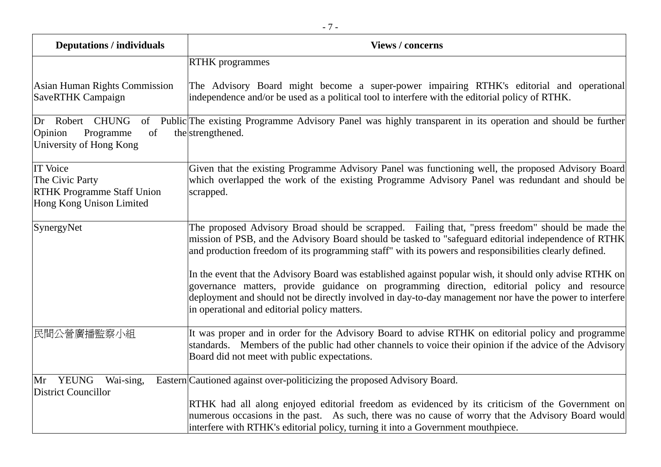| <b>Deputations / individuals</b>                                                                    | <b>Views / concerns</b>                                                                                                                                                                                                                                                                                                                                                                                                                                                                                                                                                                                                                                                                   |
|-----------------------------------------------------------------------------------------------------|-------------------------------------------------------------------------------------------------------------------------------------------------------------------------------------------------------------------------------------------------------------------------------------------------------------------------------------------------------------------------------------------------------------------------------------------------------------------------------------------------------------------------------------------------------------------------------------------------------------------------------------------------------------------------------------------|
|                                                                                                     | <b>RTHK</b> programmes                                                                                                                                                                                                                                                                                                                                                                                                                                                                                                                                                                                                                                                                    |
| Asian Human Rights Commission<br><b>SaveRTHK Campaign</b>                                           | The Advisory Board might become a super-power impairing RTHK's editorial and operational<br>independence and/or be used as a political tool to interfere with the editorial policy of RTHK.                                                                                                                                                                                                                                                                                                                                                                                                                                                                                               |
| Dr Robert CHUNG<br>of<br>of<br>Opinion<br>Programme<br>University of Hong Kong                      | Public The existing Programme Advisory Panel was highly transparent in its operation and should be further<br>the strengthened.                                                                                                                                                                                                                                                                                                                                                                                                                                                                                                                                                           |
| <b>IT Voice</b><br>The Civic Party<br><b>RTHK Programme Staff Union</b><br>Hong Kong Unison Limited | Given that the existing Programme Advisory Panel was functioning well, the proposed Advisory Board<br>which overlapped the work of the existing Programme Advisory Panel was redundant and should be<br>scrapped.                                                                                                                                                                                                                                                                                                                                                                                                                                                                         |
| SynergyNet                                                                                          | The proposed Advisory Broad should be scrapped. Failing that, "press freedom" should be made the<br>mission of PSB, and the Advisory Board should be tasked to "safeguard editorial independence of RTHK<br>and production freedom of its programming staff" with its powers and responsibilities clearly defined.<br>In the event that the Advisory Board was established against popular wish, it should only advise RTHK on<br>governance matters, provide guidance on programming direction, editorial policy and resource<br>deployment and should not be directly involved in day-to-day management nor have the power to interfere<br>in operational and editorial policy matters. |
| 民間公營廣播監察小組                                                                                          | It was proper and in order for the Advisory Board to advise RTHK on editorial policy and programme<br>standards. Members of the public had other channels to voice their opinion if the advice of the Advisory<br>Board did not meet with public expectations.                                                                                                                                                                                                                                                                                                                                                                                                                            |
| YEUNG<br>Wai-sing,<br>Mr<br><b>District Councillor</b>                                              | Eastern Cautioned against over-politicizing the proposed Advisory Board.<br>RTHK had all along enjoyed editorial freedom as evidenced by its criticism of the Government on<br>numerous occasions in the past. As such, there was no cause of worry that the Advisory Board would<br>interfere with RTHK's editorial policy, turning it into a Government mouthpiece.                                                                                                                                                                                                                                                                                                                     |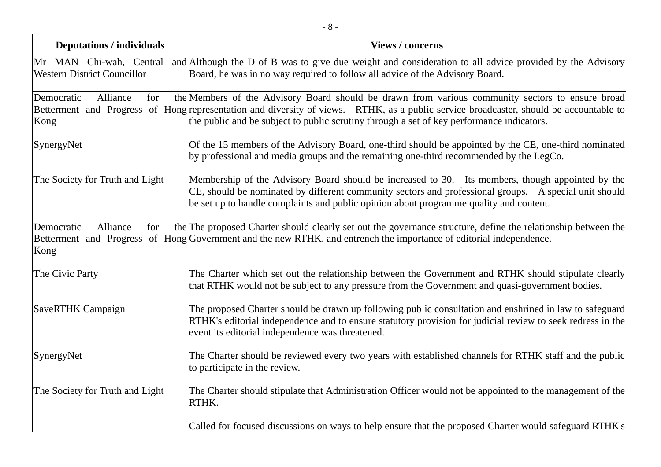| <b>Deputations / individuals</b>                              | <b>Views / concerns</b>                                                                                                                                                                                                                                                                                                                 |
|---------------------------------------------------------------|-----------------------------------------------------------------------------------------------------------------------------------------------------------------------------------------------------------------------------------------------------------------------------------------------------------------------------------------|
| Mr MAN Chi-wah, Central<br><b>Western District Councillor</b> | and Although the D of B was to give due weight and consideration to all advice provided by the Advisory<br>Board, he was in no way required to follow all advice of the Advisory Board.                                                                                                                                                 |
| Alliance<br>Democratic<br>for<br>Kong                         | the Members of the Advisory Board should be drawn from various community sectors to ensure broad<br>Betterment and Progress of Hong representation and diversity of views. RTHK, as a public service broadcaster, should be accountable to<br>the public and be subject to public scrutiny through a set of key performance indicators. |
| SynergyNet                                                    | Of the 15 members of the Advisory Board, one-third should be appointed by the CE, one-third nominated<br>by professional and media groups and the remaining one-third recommended by the LegCo.                                                                                                                                         |
| The Society for Truth and Light                               | Membership of the Advisory Board should be increased to 30. Its members, though appointed by the<br>CE, should be nominated by different community sectors and professional groups. A special unit should<br>be set up to handle complaints and public opinion about programme quality and content.                                     |
| Democratic<br>Alliance<br>for<br>Kong                         | the The proposed Charter should clearly set out the governance structure, define the relationship between the<br>Betterment and Progress of Hong Government and the new RTHK, and entrench the importance of editorial independence.                                                                                                    |
| The Civic Party                                               | The Charter which set out the relationship between the Government and RTHK should stipulate clearly<br>that RTHK would not be subject to any pressure from the Government and quasi-government bodies.                                                                                                                                  |
| <b>SaveRTHK Campaign</b>                                      | The proposed Charter should be drawn up following public consultation and enshrined in law to safeguard<br>RTHK's editorial independence and to ensure statutory provision for judicial review to seek redress in the<br>event its editorial independence was threatened.                                                               |
| SynergyNet                                                    | The Charter should be reviewed every two years with established channels for RTHK staff and the public<br>to participate in the review.                                                                                                                                                                                                 |
| The Society for Truth and Light                               | The Charter should stipulate that Administration Officer would not be appointed to the management of the<br>RTHK.                                                                                                                                                                                                                       |
|                                                               | Called for focused discussions on ways to help ensure that the proposed Charter would safeguard RTHK's                                                                                                                                                                                                                                  |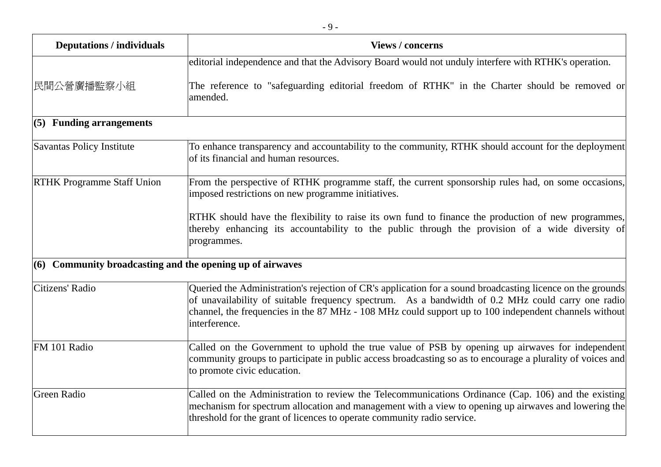| <b>Deputations / individuals</b>                          | <b>Views / concerns</b>                                                                                                                                                                                                                                                                                                                   |
|-----------------------------------------------------------|-------------------------------------------------------------------------------------------------------------------------------------------------------------------------------------------------------------------------------------------------------------------------------------------------------------------------------------------|
|                                                           | editorial independence and that the Advisory Board would not unduly interfere with RTHK's operation.                                                                                                                                                                                                                                      |
| 民間公營廣播監察小組                                                | The reference to "safeguarding editorial freedom of RTHK" in the Charter should be removed or<br>amended.                                                                                                                                                                                                                                 |
| (5) Funding arrangements                                  |                                                                                                                                                                                                                                                                                                                                           |
| Savantas Policy Institute                                 | To enhance transparency and accountability to the community, RTHK should account for the deployment<br>of its financial and human resources.                                                                                                                                                                                              |
| <b>RTHK Programme Staff Union</b>                         | From the perspective of RTHK programme staff, the current sponsorship rules had, on some occasions,<br>imposed restrictions on new programme initiatives.                                                                                                                                                                                 |
|                                                           | RTHK should have the flexibility to raise its own fund to finance the production of new programmes,<br>thereby enhancing its accountability to the public through the provision of a wide diversity of<br>programmes.                                                                                                                     |
| (6) Community broadcasting and the opening up of airwaves |                                                                                                                                                                                                                                                                                                                                           |
| Citizens' Radio                                           | Queried the Administration's rejection of CR's application for a sound broadcasting licence on the grounds<br>of unavailability of suitable frequency spectrum. As a bandwidth of 0.2 MHz could carry one radio<br>channel, the frequencies in the 87 MHz - 108 MHz could support up to 100 independent channels without<br>interference. |
| FM 101 Radio                                              | Called on the Government to uphold the true value of PSB by opening up airwaves for independent<br>community groups to participate in public access broadcasting so as to encourage a plurality of voices and<br>to promote civic education.                                                                                              |
| <b>Green Radio</b>                                        | Called on the Administration to review the Telecommunications Ordinance (Cap. 106) and the existing<br>mechanism for spectrum allocation and management with a view to opening up airwaves and lowering the<br>threshold for the grant of licences to operate community radio service.                                                    |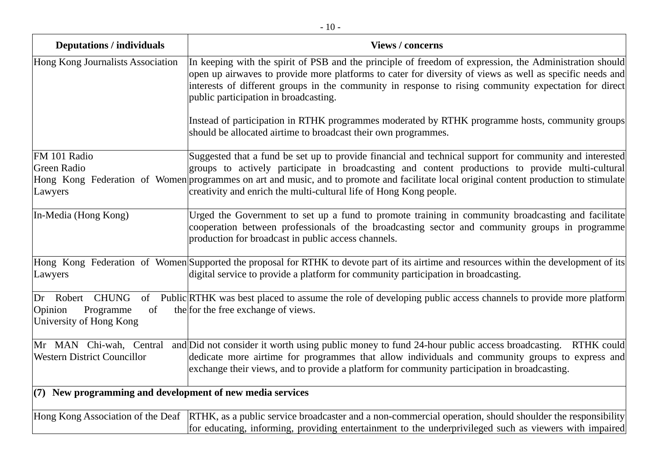| <b>Deputations / individuals</b>                                         | <b>Views / concerns</b>                                                                                                                                                                                                                                                                                                                                               |
|--------------------------------------------------------------------------|-----------------------------------------------------------------------------------------------------------------------------------------------------------------------------------------------------------------------------------------------------------------------------------------------------------------------------------------------------------------------|
| Hong Kong Journalists Association                                        | In keeping with the spirit of PSB and the principle of freedom of expression, the Administration should<br>open up airwaves to provide more platforms to cater for diversity of views as well as specific needs and<br>interests of different groups in the community in response to rising community expectation for direct<br>public participation in broadcasting. |
|                                                                          | Instead of participation in RTHK programmes moderated by RTHK programme hosts, community groups<br>should be allocated airtime to broadcast their own programmes.                                                                                                                                                                                                     |
| FM 101 Radio                                                             | Suggested that a fund be set up to provide financial and technical support for community and interested                                                                                                                                                                                                                                                               |
| <b>Green Radio</b>                                                       | groups to actively participate in broadcasting and content productions to provide multi-cultural                                                                                                                                                                                                                                                                      |
| Lawyers                                                                  | Hong Kong Federation of Women programmes on art and music, and to promote and facilitate local original content production to stimulate<br>creativity and enrich the multi-cultural life of Hong Kong people.                                                                                                                                                         |
|                                                                          |                                                                                                                                                                                                                                                                                                                                                                       |
| In-Media (Hong Kong)                                                     | Urged the Government to set up a fund to promote training in community broadcasting and facilitate<br>cooperation between professionals of the broadcasting sector and community groups in programme<br>production for broadcast in public access channels.                                                                                                           |
| Lawyers                                                                  | Hong Kong Federation of Women Supported the proposal for RTHK to devote part of its airtime and resources within the development of its<br>digital service to provide a platform for community participation in broadcasting.                                                                                                                                         |
| Dr Robert CHUNG<br>Opinion<br>Programme<br>of<br>University of Hong Kong | of Public RTHK was best placed to assume the role of developing public access channels to provide more platform<br>the for the free exchange of views.                                                                                                                                                                                                                |
| Mr MAN Chi-wah, Central                                                  | and Did not consider it worth using public money to fund 24-hour public access broadcasting.<br><b>RTHK</b> could                                                                                                                                                                                                                                                     |
| <b>Western District Councillor</b>                                       | dedicate more airtime for programmes that allow individuals and community groups to express and<br>exchange their views, and to provide a platform for community participation in broadcasting.                                                                                                                                                                       |
| $(7)$ New programming and development of new media services              |                                                                                                                                                                                                                                                                                                                                                                       |
| Hong Kong Association of the Deaf                                        | RTHK, as a public service broadcaster and a non-commercial operation, should shoulder the responsibility                                                                                                                                                                                                                                                              |
|                                                                          | for educating, informing, providing entertainment to the underprivileged such as viewers with impaired                                                                                                                                                                                                                                                                |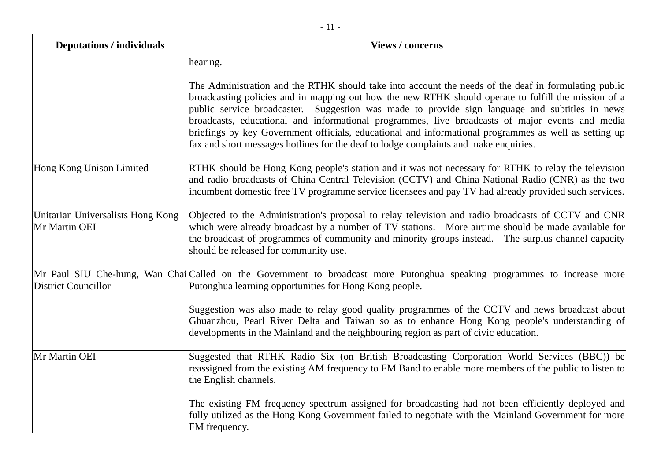| <b>Deputations / individuals</b>                   | <b>Views / concerns</b>                                                                                                                                                                                                                                                                                                                                                                                                                                                                                                                                                                                            |
|----------------------------------------------------|--------------------------------------------------------------------------------------------------------------------------------------------------------------------------------------------------------------------------------------------------------------------------------------------------------------------------------------------------------------------------------------------------------------------------------------------------------------------------------------------------------------------------------------------------------------------------------------------------------------------|
|                                                    | hearing.                                                                                                                                                                                                                                                                                                                                                                                                                                                                                                                                                                                                           |
|                                                    | The Administration and the RTHK should take into account the needs of the deaf in formulating public<br>broadcasting policies and in mapping out how the new RTHK should operate to fulfill the mission of a<br>public service broadcaster. Suggestion was made to provide sign language and subtitles in news<br>broadcasts, educational and informational programmes, live broadcasts of major events and media<br>briefings by key Government officials, educational and informational programmes as well as setting up<br>fax and short messages hotlines for the deaf to lodge complaints and make enquiries. |
| Hong Kong Unison Limited                           | RTHK should be Hong Kong people's station and it was not necessary for RTHK to relay the television<br>and radio broadcasts of China Central Television (CCTV) and China National Radio (CNR) as the two<br>incumbent domestic free TV programme service licensees and pay TV had already provided such services.                                                                                                                                                                                                                                                                                                  |
| Unitarian Universalists Hong Kong<br>Mr Martin OEI | Objected to the Administration's proposal to relay television and radio broadcasts of CCTV and CNR<br>which were already broadcast by a number of TV stations. More airtime should be made available for<br>the broadcast of programmes of community and minority groups instead. The surplus channel capacity<br>should be released for community use.                                                                                                                                                                                                                                                            |
| <b>District Councillor</b>                         | Mr Paul SIU Che-hung, Wan Chai Called on the Government to broadcast more Putonghua speaking programmes to increase more<br>Putonghua learning opportunities for Hong Kong people.                                                                                                                                                                                                                                                                                                                                                                                                                                 |
|                                                    | Suggestion was also made to relay good quality programmes of the CCTV and news broadcast about<br>Ghuanzhou, Pearl River Delta and Taiwan so as to enhance Hong Kong people's understanding of<br>developments in the Mainland and the neighbouring region as part of civic education.                                                                                                                                                                                                                                                                                                                             |
| Mr Martin OEI                                      | Suggested that RTHK Radio Six (on British Broadcasting Corporation World Services (BBC)) be<br>reassigned from the existing AM frequency to FM Band to enable more members of the public to listen to<br>the English channels.                                                                                                                                                                                                                                                                                                                                                                                     |
|                                                    | The existing FM frequency spectrum assigned for broadcasting had not been efficiently deployed and<br>fully utilized as the Hong Kong Government failed to negotiate with the Mainland Government for more<br>FM frequency.                                                                                                                                                                                                                                                                                                                                                                                        |

- 11 -